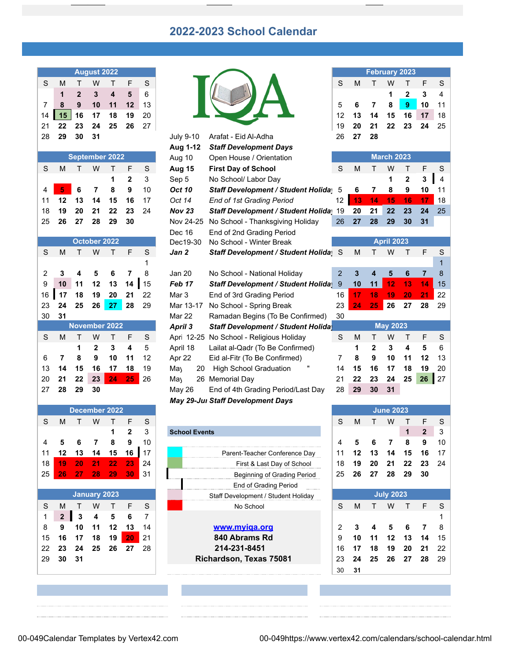## **2022-2023 School Calendar**

| <b>August 2022</b> |    |    |    |    |    |    |  |  |  |  |  |  |  |
|--------------------|----|----|----|----|----|----|--|--|--|--|--|--|--|
| S                  | м  |    | w  |    | F  | S  |  |  |  |  |  |  |  |
|                    | 1  | 2  | 3  | 4  | 5  | 6  |  |  |  |  |  |  |  |
|                    | 8  | 9  | 10 | 11 | 12 | 13 |  |  |  |  |  |  |  |
| 14                 | 15 | 16 | 17 | 18 | 19 | 20 |  |  |  |  |  |  |  |
| 21                 | 22 | 23 | 24 | 25 | 26 | 27 |  |  |  |  |  |  |  |
| າຂ                 | ממ | ?Λ |    |    |    |    |  |  |  |  |  |  |  |

| <b>September 2022</b> |                 |                              |                |    |              |    |  |  |  |  |  |  |  |
|-----------------------|-----------------|------------------------------|----------------|----|--------------|----|--|--|--|--|--|--|--|
| S                     | м               | $\langle \mathsf{T} \rangle$ | w              | т  | F            | S  |  |  |  |  |  |  |  |
|                       |                 |                              |                | 1  | $\mathbf{2}$ | 3  |  |  |  |  |  |  |  |
| 4                     | $\blacklozenge$ | $6\phantom{1}$               | $\overline{7}$ | 8  | 9            | 10 |  |  |  |  |  |  |  |
| 11                    | 12              | 13                           | 14             | 15 | 16           | 17 |  |  |  |  |  |  |  |
| 18                    | 19              | 20                           | 21             | 22 | 23           | 24 |  |  |  |  |  |  |  |
| 25                    | 26              | 27                           | - 28           | 29 | 30           |    |  |  |  |  |  |  |  |

|    |    |    | October 2022         |    |    |    |
|----|----|----|----------------------|----|----|----|
| S  | M  | т  | W                    | т  | F  | S  |
|    |    |    |                      |    |    | 1  |
| 2  | 3  | 4  | 5                    | 6  | 7  | 8  |
| 9  | 10 | 11 | 12                   | 13 | 14 | 15 |
| 16 | 17 | 18 | 19                   | 20 | 21 | 22 |
| 23 | 24 | 25 | 26                   | 27 | 28 | 29 |
| 30 | 31 |    |                      |    |    |    |
|    |    |    | <b>November 2022</b> |    |    |    |
| S  | М  | т  | W                    | т  | F  | S  |
|    |    | 1  | $\mathbf{2}$         | 3  | 4  | 5  |
| 6  |    | 8  | 9                    | 10 | 11 | 12 |
| 13 | 14 | 15 | 16                   | 17 | 18 | 19 |

|               |    |    |       |       |     |    | <b><i>INGY 23-JUI JIGH DEVEROPMENT Days</i></b> |    |    |    |                  |                |
|---------------|----|----|-------|-------|-----|----|-------------------------------------------------|----|----|----|------------------|----------------|
| December 2022 |    |    |       |       |     |    |                                                 |    |    |    | <b>June 2023</b> |                |
|               | M  |    | W     |       |     | S. |                                                 |    | M  |    | W                |                |
|               |    |    |       |       | 2   | 3  | <b>School Events</b>                            |    |    |    |                  |                |
|               |    |    |       | 8     |     | 10 |                                                 |    |    |    |                  |                |
| 11            | 12 | 13 | 14    | 15    |     |    | Parent-Teacher Conference Day                   |    | 12 | 13 | 14               | -15            |
| 18            | 19 | 20 | $-21$ | $-22$ | -23 | 24 | First & Last Day of School                      | 18 | 19 | 20 | - 21             | $\overline{2}$ |
| 25            | 26 |    | 28    | -29   | 30  | 31 | Beginning of Grading Period                     | 25 | 26 |    | ົາຂ              | 29             |
|               |    |    |       |       |     |    |                                                 |    |    |    |                  |                |

| <b>January 2023</b> |                |              |    |     |       |    |  |  |  |  |  |  |  |  |
|---------------------|----------------|--------------|----|-----|-------|----|--|--|--|--|--|--|--|--|
| S                   | М              |              | w  |     | F     | S  |  |  |  |  |  |  |  |  |
| 1                   | $\overline{2}$ | $\mathbf{3}$ | 4  | - 5 | 6     |    |  |  |  |  |  |  |  |  |
| 8                   | 9              | 10           | 11 | 12  | 13    | 14 |  |  |  |  |  |  |  |  |
| 15                  | 16             | 17           | 18 | 19  | $-20$ | 21 |  |  |  |  |  |  |  |  |
| 22                  | 23             | 24           | 25 | 26  | -27   | 28 |  |  |  |  |  |  |  |  |
| 29                  | 30             | 31           |    |     |       |    |  |  |  |  |  |  |  |  |
|                     |                |              |    |     |       |    |  |  |  |  |  |  |  |  |

|    |    |                | <b>August 2022</b> |                |                |    |                  |                                            |                |    |                         | <b>February 2023</b> |                  |                |                |
|----|----|----------------|--------------------|----------------|----------------|----|------------------|--------------------------------------------|----------------|----|-------------------------|----------------------|------------------|----------------|----------------|
| S  | M  | т              | W                  | Τ              | F              | S  |                  |                                            | S              | M  | т                       | W                    | т                | F              | S              |
|    | 1  | $\overline{2}$ | 3                  | 4              | 5              | 6  |                  |                                            |                |    |                         | 1                    | $\overline{2}$   | 3              | 4              |
| 7  | 8  | 9              | 10                 | 11             | 12             | 13 |                  |                                            | 5              | 6  | $\overline{7}$          | 8                    | $\boldsymbol{9}$ | 10             | 11             |
| 14 | 15 | 16             | 17                 | 18             | 19             | 20 |                  |                                            | 12             | 13 | 14                      | 15                   | 16               | 17             | 18             |
| 21 | 22 | 23             | 24                 | 25             | 26             | 27 |                  |                                            | 19             | 20 | 21                      | 22                   | 23               | 24             | 25             |
| 28 | 29 | 30             | 31                 |                |                |    | <b>July 9-10</b> | Arafat - Eid Al-Adha                       | 26             | 27 | 28                      |                      |                  |                |                |
|    |    |                |                    |                |                |    | Aug 1-12         | <b>Staff Development Days</b>              |                |    |                         |                      |                  |                |                |
|    |    |                |                    | September 2022 |                |    | Aug 10           | Open House / Orientation                   |                |    |                         | <b>March 2023</b>    |                  |                |                |
| S  | M  | т              | W                  | т              | F              | S  | <b>Aug 15</b>    | <b>First Day of School</b>                 | S              | M  | т                       | W                    | т                | F              | S              |
|    |    |                |                    | 1              | $\overline{2}$ | 3  | Sep 5            | No School/ Labor Day                       |                |    |                         | 1                    | $\overline{2}$   | 3              | $\overline{4}$ |
| 4  | 5  | 6              | 7                  | 8              | 9              | 10 | <b>Oct 10</b>    | <b>Staff Development / Student Holiday</b> | 5              | 6  | 7                       | 8                    | 9                | 10             | 11             |
| 11 | 12 | 13             | 14                 | 15             | 16             | 17 | Oct 14           | End of 1st Grading Period                  | 12             | 13 | 14                      | 15                   | 16               | 17             | 18             |
| 18 | 19 | 20             | 21                 | 22             | 23             | 24 | <b>Nov 23</b>    | Staff Development / Student Holida         | 19             | 20 | 21                      | 22                   | 23               | 24             | 25             |
| 25 | 26 | 27             | 28                 | 29             | 30             |    | Nov 24-25        | No School - Thanksgiving Holiday           | 26             | 27 | 28                      | 29                   | 30               | 31             |                |
|    |    |                |                    |                |                |    | Dec 16           | End of 2nd Grading Period                  |                |    |                         |                      |                  |                |                |
|    |    |                | October 2022       |                |                |    | Dec19-30         | No School - Winter Break                   |                |    |                         | <b>April 2023</b>    |                  |                |                |
| S  | M  | т              | W                  | Т              | F              | S  | Jan 2            | Staff Development / Student Holida         |                | M  | т                       | W                    | т                | F              | S              |
|    |    |                |                    |                |                |    |                  |                                            |                |    |                         |                      |                  |                | 1              |
| 2  | 3  | 4              | 5                  | 6              | 7              | 8  | <b>Jan 20</b>    | No School - National Holiday               | $\overline{2}$ | 3  | $\overline{\mathbf{4}}$ | 5                    | 6                | $\overline{7}$ | 8              |
| 9  | 10 | 11             | 12                 | 13             | 14             | 15 | Feb 17           | <b>Staff Development / Student Holida</b>  | 9              | 10 | 11                      | 12                   | 13               | 14             | 15             |
| 16 | 17 | 18             | 19                 | 20             | 21             | 22 | Mar <sub>3</sub> | End of 3rd Grading Period                  | 16             | 17 | 18                      | 19                   | 20               | 21             | 22             |
| 23 | 24 | 25             | 26                 | 27             | 28             | 29 | Mar 13-17        | No School - Spring Break                   | 23             | 24 | 25                      | 26                   | 27               | 28             | 29             |
| 30 | 31 |                |                    |                |                |    | Mar 22           | Ramadan Begins (To Be Confirmed)           | 30             |    |                         |                      |                  |                |                |
|    |    |                |                    | November 2022  |                |    | April 3          | <b>Staff Development / Student Holida</b>  |                |    |                         | <b>May 2023</b>      |                  |                |                |
| S  | M  | т              | W                  | Τ              | F              | S  |                  | Apri 12-25 No School - Religious Holiday   | S              | M  | Τ                       | W                    | Т                | F              | S              |
|    |    | 1              | 2                  | 3              | 4              | 5  | April 18         | Lailat al-Qadr (To Be Confirmed)           |                | 1  | 2                       | 3                    | 4                | 5              | $\,6\,$        |
| 6  | 7  | 8              | 9                  | 10             | 11             | 12 | Apr 22           | Eid al-Fitr (To Be Confirmed)              | 7              | 8  | 9                       | 10                   | 11               | 12             | 13             |
| 13 | 14 | 15             | 16                 | 17             | 18             | 19 | May<br>20        | <b>High School Graduation</b>              | 14             | 15 | 16                      | 17                   | 18               | 19             | 20             |
| 20 | 21 | 22             | 23                 | 24             | 25             | 26 | Ma               | 26 Memorial Day                            | 21             | 22 | 23                      | 24                   | 25               | 26             | 27             |
| 27 | 28 | 29             | 30                 |                |                |    | May 26           | End of 4th Grading Period/Last Day         | 28             | 29 | 30                      | 31                   |                  |                |                |
|    |    |                |                    |                |                |    |                  | May 29-Jul Staff Development Days          |                |    |                         |                      |                  |                |                |

|                     |    |                                     |    |    |    |     |                  |                                    |                    |     | .  |    | . . |    |    |    |
|---------------------|----|-------------------------------------|----|----|----|-----|------------------|------------------------------------|--------------------|-----|----|----|-----|----|----|----|
|                     |    |                                     |    |    |    |     |                  | <b>School Events</b>               |                    |     |    |    |     |    |    |    |
| 4                   |    |                                     |    |    |    | 10  |                  |                                    |                    |     |    |    |     |    |    | 10 |
| 11                  |    |                                     |    |    |    |     |                  | Parent-Teacher Conference Day      |                    |     |    |    |     |    |    |    |
| 18                  | 19 |                                     |    |    | 23 | 24  |                  | First & Last Day of School         |                    | 18  | 19 |    | 21  | 22 | 23 | 24 |
| 25                  | 26 | '27                                 | 28 | 29 | 30 | -31 |                  | <b>Beginning of Grading Period</b> |                    | 25. | 26 | 27 | 28  | 29 | 30 |    |
|                     |    |                                     |    |    |    |     |                  | End of Grading Period              | <b>***********</b> |     |    |    |     |    |    |    |
| <b>January 2023</b> |    | Staff Development / Student Holiday |    |    |    |     | <b>July 2023</b> |                                    |                    |     |    |    |     |    |    |    |
| S                   | M  |                                     |    |    |    | S.  |                  | No School                          |                    | c   | м  |    | w   |    |    |    |
|                     | ◠  |                                     |    |    |    |     |                  |                                    |                    |     |    |    |     |    |    |    |

| <b>February 2023</b> |    |    |    |    |    |    |  |  |  |  |  |  |  |
|----------------------|----|----|----|----|----|----|--|--|--|--|--|--|--|
| S                    | М  | T  | w  | л. | F  | S  |  |  |  |  |  |  |  |
|                      |    |    | 1  | 2  | 3  | 4  |  |  |  |  |  |  |  |
| 5                    | 6  | 7  | 8  | 9  | 10 | 11 |  |  |  |  |  |  |  |
| 12                   | 13 | 14 | 15 | 16 | 17 | 18 |  |  |  |  |  |  |  |
| 19                   | 20 | 21 | 22 | 23 | 24 | 25 |  |  |  |  |  |  |  |
| 26                   | 27 | 28 |    |    |    |    |  |  |  |  |  |  |  |
|                      |    |    |    |    |    |    |  |  |  |  |  |  |  |

|                | <b>March 2023</b> |                |                   |    |    |                |  |  |  |  |  |  |  |  |
|----------------|-------------------|----------------|-------------------|----|----|----------------|--|--|--|--|--|--|--|--|
| S              | М                 | Τ              | W                 | Τ  | F  | S              |  |  |  |  |  |  |  |  |
|                |                   |                | 1                 | 2  | 3  | 4              |  |  |  |  |  |  |  |  |
| 5              | 6                 | 7              | 8                 | 9  | 10 | 11             |  |  |  |  |  |  |  |  |
| 12             | 13                | 14             | 15                | 16 | 17 | 18             |  |  |  |  |  |  |  |  |
| 19             | 20                | 21             | 22                | 23 | 24 | 25             |  |  |  |  |  |  |  |  |
| 26             | 27                | 28             | 29                | 30 | 31 |                |  |  |  |  |  |  |  |  |
|                |                   |                |                   |    |    |                |  |  |  |  |  |  |  |  |
|                |                   |                | <b>April 2023</b> |    |    |                |  |  |  |  |  |  |  |  |
| S              | М                 | т              | W                 | т  | F  | S              |  |  |  |  |  |  |  |  |
|                |                   |                |                   |    |    | $\overline{1}$ |  |  |  |  |  |  |  |  |
| $\overline{c}$ | 3                 | 4              | 5                 | 6  | 7  | 8              |  |  |  |  |  |  |  |  |
| 9              | 10                | 11             | 12                | 13 | 14 | 15             |  |  |  |  |  |  |  |  |
| 16             | 17                | 18             | 19                | 20 | 21 | 22             |  |  |  |  |  |  |  |  |
| 23             | 24                | 25             | 26                | 27 | 28 | 29             |  |  |  |  |  |  |  |  |
| 30             |                   |                |                   |    |    |                |  |  |  |  |  |  |  |  |
|                |                   |                | <b>May 2023</b>   |    |    |                |  |  |  |  |  |  |  |  |
| S              | М                 | Τ              | W                 | т  | F  | S              |  |  |  |  |  |  |  |  |
|                | 1                 | $\overline{2}$ | 3                 | 4  | 5  | 6              |  |  |  |  |  |  |  |  |
| 7              | 8                 | 9              | 10                | 11 | 12 | 13             |  |  |  |  |  |  |  |  |

|             |  | 7 8 9 10 11 12 13          |  |
|-------------|--|----------------------------|--|
|             |  | 14  15  16  17  18  19  20 |  |
|             |  | 21 22 23 24 25 26 27       |  |
| 28 29 30 31 |  |                            |  |
|             |  |                            |  |

|    | December 2022 |    |    |    |    |     |
|----|---------------|----|----|----|----|-----|
| S  | M             |    | W  |    |    | S   |
|    |               |    |    |    |    |     |
| 4  |               |    |    |    |    | 10  |
| 1  |               |    |    | 15 |    |     |
|    |               |    |    | 22 | 23 |     |
| 18 | Т9            | 20 |    |    |    | -24 |
| 25 | 26            | 27 | 28 | 29 | 30 | -31 |
|    |               |    |    |    |    |     |

|              |                |     |    |                                     |                  |    | LIN VI VIDUIN FUIVU     |    |     |     |                 |    |    |     |
|--------------|----------------|-----|----|-------------------------------------|------------------|----|-------------------------|----|-----|-----|-----------------|----|----|-----|
| January 2023 |                |     |    | Staff Development / Student Holiday | <b>July 2023</b> |    |                         |    |     |     |                 |    |    |     |
| S            | M              |     | W  |                                     |                  | -S | No School               | S  | M   |     | W               |    | F  |     |
|              | $\overline{2}$ | 3   | 4  | 5                                   | -6               |    |                         |    |     |     |                 |    |    |     |
| 8            |                | 10  | 11 | 12                                  |                  | 14 | www.myiga.org           |    |     | 4   | 5               |    |    |     |
| 15           | 16             | 17  | 18 | 19                                  |                  | 21 | 840 Abrams Rd           | 9  | 10  | -11 | 12 <sup>1</sup> | 13 | 14 | -15 |
| $22 -$       | 23             | 24  | 25 | 26                                  | 27               | 28 | 214-231-8451            | 16 |     | 18  | 19              | 20 | 21 | -22 |
| 29.          | 30             | -31 |    |                                     |                  |    | Richardson, Texas 75081 |    | 24  | 25  | 26              | 27 | 28 | -29 |
|              |                |     |    |                                     |                  |    |                         | 30 | -31 |     |                 |    |    |     |
|              |                |     |    |                                     |                  |    |                         |    |     |     |                 |    |    |     |